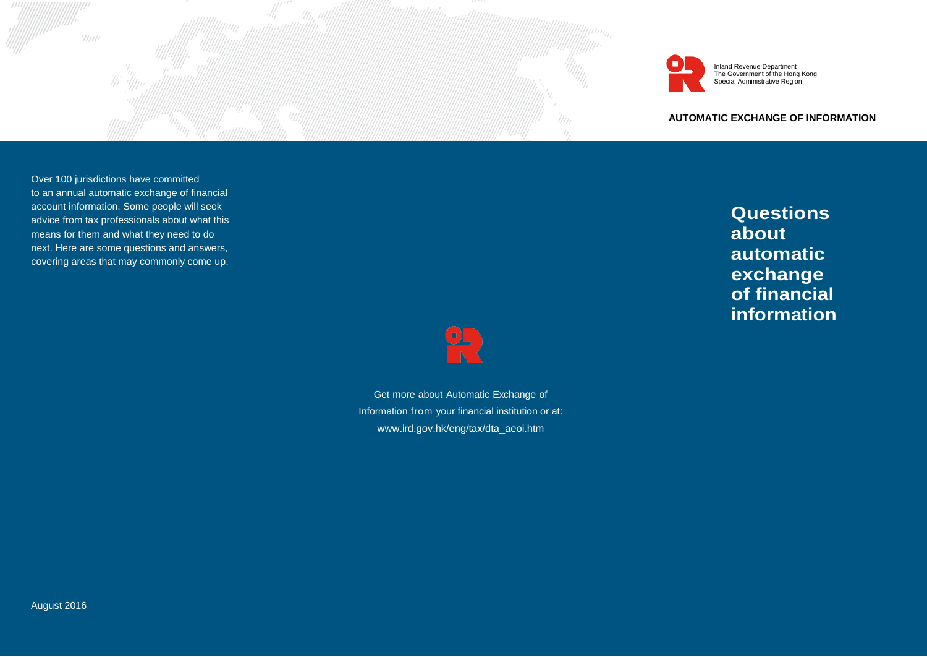



Inland Revenue Department The Government of the Hong Kong Special Administrative Region

**AUTOMATIC EXCHANGE OF INFORMATION**

Over 100 jurisdictions have committed to an annual automatic exchange of financial account information. Some people will seek advice from tax professionals about what this means for them and what they need to do next. Here are some questions and answers, covering areas that may commonly come up.

**Questions about automatic exchange of financial information**



Get more about Automatic Exchange of Information from your financial institution or at: [www.ird.gov.hk/eng/tax/dta\\_aeoi.htm](http://www.ird.gov.hk/eng/tax/dta_aeoi.htm)

U